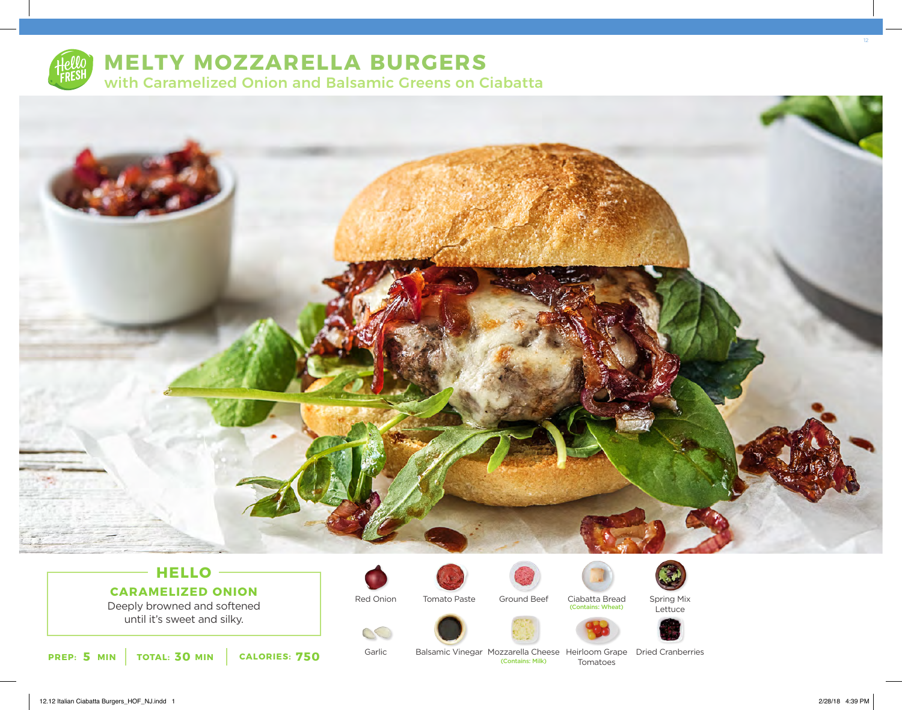

# **MELTY MOZZARELLA BURGERS** with Caramelized Onion and Balsamic Greens on Ciabatta



## **HELLO CARAMELIZED ONION**

Deeply browned and softened until it's sweet and silky.

Red Onion





Ciabatta Bread (Contains: Wheat)



Spring Mix Lettuce







**5 30 750 PREP: MIN TOTAL: MIN CALORIES:**

Garlic

 $\mathcal{O}$ 

Balsamic Vinegar Mozzarella Cheese Heirloom Grape Dried Cranberries Tomatoes (Contains: Milk)

12